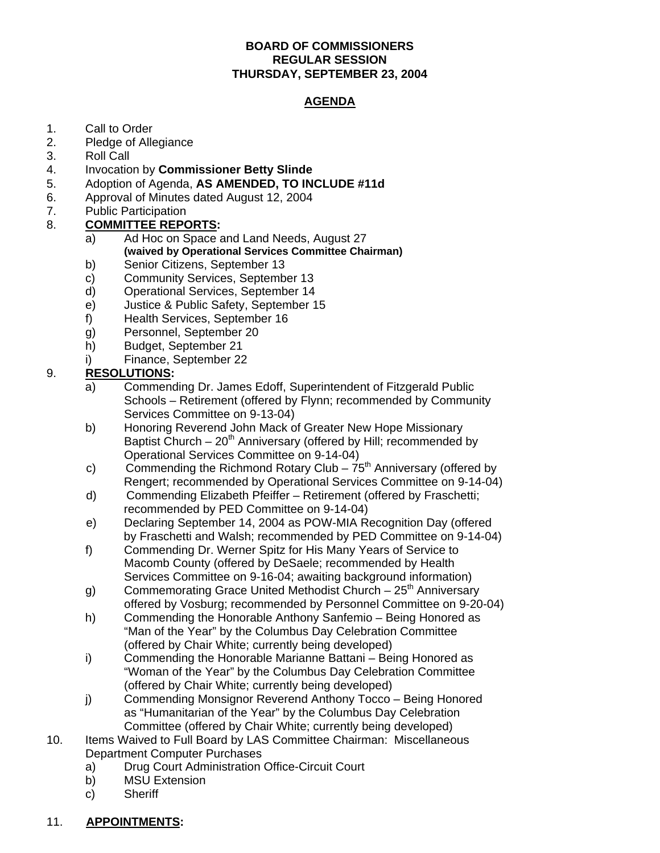## **BOARD OF COMMISSIONERS REGULAR SESSION THURSDAY, SEPTEMBER 23, 2004**

## **AGENDA**

- 1. Call to Order<br>2. Pledge of Alle
- Pledge of Allegiance
- 3. Roll Call
- 4. Invocation by **Commissioner Betty Slinde**
- 5. Adoption of Agenda, **AS AMENDED, TO INCLUDE #11d**
- 6. Approval of Minutes dated August 12, 2004
- 7. Public Participation
- 8. **COMMITTEE REPORTS:** 
	- a) Ad Hoc on Space and Land Needs, August 27  **(waived by Operational Services Committee Chairman)**
	- b) Senior Citizens, September 13
	- c) Community Services, September 13
	- d) Operational Services, September 14
	- e) Justice & Public Safety, September 15
	- f) Health Services, September 16
	- g) Personnel, September 20
	- h) Budget, September 21
	- i) Finance, September 22

## 9. **RESOLUTIONS:**

- a) Commending Dr. James Edoff, Superintendent of Fitzgerald Public Schools – Retirement (offered by Flynn; recommended by Community Services Committee on 9-13-04)
- b) Honoring Reverend John Mack of Greater New Hope Missionary Baptist Church – 20<sup>th</sup> Anniversary (offered by Hill; recommended by Operational Services Committee on 9-14-04)
- c) Commending the Richmond Rotary Club  $75<sup>th</sup>$  Anniversary (offered by Rengert; recommended by Operational Services Committee on 9-14-04)
- d) Commending Elizabeth Pfeiffer Retirement (offered by Fraschetti; recommended by PED Committee on 9-14-04)
- e) Declaring September 14, 2004 as POW-MIA Recognition Day (offered by Fraschetti and Walsh; recommended by PED Committee on 9-14-04)
- f) Commending Dr. Werner Spitz for His Many Years of Service to Macomb County (offered by DeSaele; recommended by Health Services Committee on 9-16-04; awaiting background information)
- g) Commemorating Grace United Methodist Church  $25<sup>th</sup>$  Anniversary offered by Vosburg; recommended by Personnel Committee on 9-20-04)
- h) Commending the Honorable Anthony Sanfemio Being Honored as "Man of the Year" by the Columbus Day Celebration Committee (offered by Chair White; currently being developed)
- i) Commending the Honorable Marianne Battani Being Honored as "Woman of the Year" by the Columbus Day Celebration Committee (offered by Chair White; currently being developed)
- j) Commending Monsignor Reverend Anthony Tocco Being Honored as "Humanitarian of the Year" by the Columbus Day Celebration Committee (offered by Chair White; currently being developed)
- 10. Items Waived to Full Board by LAS Committee Chairman: Miscellaneous Department Computer Purchases
	- a) Drug Court Administration Office-Circuit Court
	- b) MSU Extension
	- c) Sheriff

## 11. **APPOINTMENTS:**